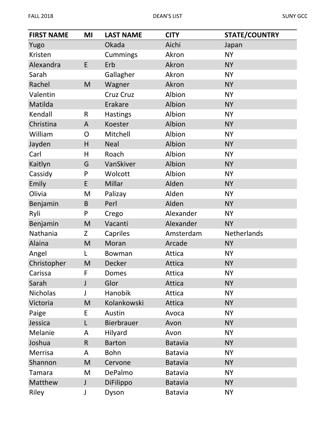| <b>FIRST NAME</b> | MI           | <b>LAST NAME</b>  | <b>CITY</b>    | <b>STATE/COUNTRY</b> |
|-------------------|--------------|-------------------|----------------|----------------------|
| Yugo              |              | Okada             | Aichi          | Japan                |
| Kristen           |              | Cummings          | Akron          | <b>NY</b>            |
| Alexandra         | E            | Erb               | Akron          | <b>NY</b>            |
| Sarah             |              | Gallagher         | Akron          | <b>NY</b>            |
| Rachel            | M            | Wagner            | Akron          | <b>NY</b>            |
| Valentin          |              | Cruz Cruz         | Albion         | <b>NY</b>            |
| Matilda           |              | Erakare           | Albion         | <b>NY</b>            |
| Kendall           | $\mathsf R$  | <b>Hastings</b>   | Albion         | <b>NY</b>            |
| Christina         | A            | Koester           | Albion         | <b>NY</b>            |
| William           | O            | Mitchell          | Albion         | <b>NY</b>            |
| Jayden            | H            | <b>Neal</b>       | Albion         | <b>NY</b>            |
| Carl              | H            | Roach             | Albion         | <b>NY</b>            |
| Kaitlyn           | G            | VanSkiver         | Albion         | <b>NY</b>            |
| Cassidy           | P            | Wolcott           | Albion         | <b>NY</b>            |
| Emily             | E            | Millar            | Alden          | <b>NY</b>            |
| Olivia            | M            | Palizay           | Alden          | <b>NY</b>            |
| Benjamin          | B            | Perl              | Alden          | <b>NY</b>            |
| Ryli              | P            | Crego             | Alexander      | <b>NY</b>            |
| Benjamin          | M            | Vacanti           | Alexander      | <b>NY</b>            |
| Nathania          | Z            | Capriles          | Amsterdam      | Netherlands          |
| Alaina            | M            | Moran             | Arcade         | <b>NY</b>            |
| Angel             | L            | Bowman            | Attica         | <b>NY</b>            |
| Christopher       | M            | Decker            | Attica         | <b>NY</b>            |
| Carissa           | F            | Domes             | Attica         | <b>NY</b>            |
| Sarah             | $\mathsf{J}$ | Glor              | Attica         | <b>NY</b>            |
| <b>Nicholas</b>   | J            | Hanobik           | Attica         | <b>NY</b>            |
| Victoria          | M            | Kolankowski       | Attica         | <b>NY</b>            |
| Paige             | E            | Austin            | Avoca          | <b>NY</b>            |
| Jessica           | L            | <b>Bierbrauer</b> | Avon           | <b>NY</b>            |
| Melanie           | A            | Hilyard           | Avon           | <b>NY</b>            |
| Joshua            | $\mathsf R$  | <b>Barton</b>     | <b>Batavia</b> | <b>NY</b>            |
| Merrisa           | A            | <b>Bohn</b>       | Batavia        | <b>NY</b>            |
| Shannon           | M            | Cervone           | <b>Batavia</b> | <b>NY</b>            |
| <b>Tamara</b>     | M            | DePalmo           | <b>Batavia</b> | <b>NY</b>            |
| Matthew           | $\mathsf J$  | DiFilippo         | <b>Batavia</b> | <b>NY</b>            |
| Riley             | J            | Dyson             | <b>Batavia</b> | <b>NY</b>            |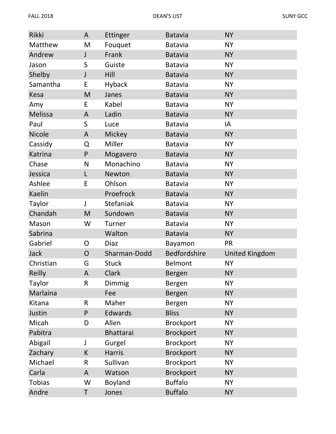| Rikki         | A              | Ettinger         | <b>Batavia</b>      | <b>NY</b>             |
|---------------|----------------|------------------|---------------------|-----------------------|
| Matthew       | M              | Fouquet          | <b>Batavia</b>      | <b>NY</b>             |
| Andrew        | J              | Frank            | <b>Batavia</b>      | <b>NY</b>             |
| Jason         | S              | Guiste           | <b>Batavia</b>      | <b>NY</b>             |
| Shelby        | $\mathsf J$    | Hill             | <b>Batavia</b>      | <b>NY</b>             |
| Samantha      | E              | <b>Hyback</b>    | <b>Batavia</b>      | <b>NY</b>             |
| Kesa          | M              | Janes            | <b>Batavia</b>      | <b>NY</b>             |
| Amy           | E              | Kabel            | <b>Batavia</b>      | <b>NY</b>             |
| Melissa       | A              | Ladin            | <b>Batavia</b>      | <b>NY</b>             |
| Paul          | $\mathsf S$    | Luce             | <b>Batavia</b>      | IA                    |
| <b>Nicole</b> | A              | Mickey           | <b>Batavia</b>      | <b>NY</b>             |
| Cassidy       | Q              | Miller           | <b>Batavia</b>      | <b>NY</b>             |
| Katrina       | $\mathsf{P}$   | Mogavero         | <b>Batavia</b>      | <b>NY</b>             |
| Chase         | N              | Monachino        | <b>Batavia</b>      | <b>NY</b>             |
| Jessica       | L              | Newton           | <b>Batavia</b>      | <b>NY</b>             |
| Ashlee        | E              | Ohlson           | <b>Batavia</b>      | <b>NY</b>             |
| Kaelin        |                | Proefrock        | <b>Batavia</b>      | <b>NY</b>             |
| Taylor        | J              | <b>Stefaniak</b> | <b>Batavia</b>      | <b>NY</b>             |
| Chandah       | M              | Sundown          | <b>Batavia</b>      | <b>NY</b>             |
| Mason         | W              | Turner           | <b>Batavia</b>      | <b>NY</b>             |
| Sabrina       |                | Walton           | <b>Batavia</b>      | <b>NY</b>             |
| Gabriel       | O              | <b>Diaz</b>      | Bayamon             | <b>PR</b>             |
| Jack          | $\overline{O}$ | Sharman-Dodd     | <b>Bedfordshire</b> | <b>United Kingdom</b> |
| Christian     | G              | <b>Stuck</b>     | Belmont             | <b>NY</b>             |
| Reilly        | A              | Clark            | <b>Bergen</b>       | <b>NY</b>             |
| Taylor        | $\mathsf R$    | Dimmig           | Bergen              | <b>NY</b>             |
| Marlaina      |                | Fee              | Bergen              | <b>NY</b>             |
| Kitana        | R              | Maher            | Bergen              | <b>NY</b>             |
| Justin        | $\mathsf{P}$   | Edwards          | <b>Bliss</b>        | <b>NY</b>             |
| Micah         | D              | Allen            | <b>Brockport</b>    | <b>NY</b>             |
| Pabitra       |                | Bhattarai        | <b>Brockport</b>    | <b>NY</b>             |
| Abigail       | J              | Gurgel           | <b>Brockport</b>    | <b>NY</b>             |
| Zachary       | К              | <b>Harris</b>    | <b>Brockport</b>    | <b>NY</b>             |
| Michael       | $\mathsf R$    | Sullivan         | <b>Brockport</b>    | <b>NY</b>             |
| Carla         | A              | Watson           | <b>Brockport</b>    | <b>NY</b>             |
| <b>Tobias</b> | W              | Boyland          | <b>Buffalo</b>      | <b>NY</b>             |
| Andre         | T              | Jones            | <b>Buffalo</b>      | <b>NY</b>             |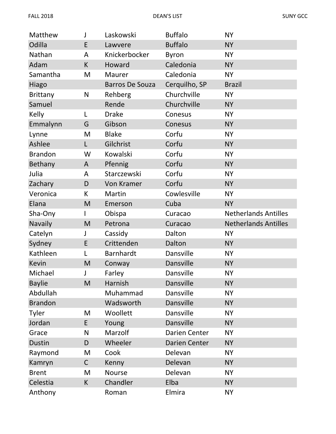| Matthew         | J           | Laskowski              | <b>Buffalo</b> | <b>NY</b>                   |
|-----------------|-------------|------------------------|----------------|-----------------------------|
| Odilla          | E           | Lawvere                | <b>Buffalo</b> | <b>NY</b>                   |
| Nathan          | A           | Knickerbocker          | <b>Byron</b>   | <b>NY</b>                   |
| Adam            | K           | Howard                 | Caledonia      | <b>NY</b>                   |
| Samantha        | M           | <b>Maurer</b>          | Caledonia      | <b>NY</b>                   |
| Hiago           |             | <b>Barros De Souza</b> | Cerquilho, SP  | <b>Brazil</b>               |
| <b>Brittany</b> | N           | Rehberg                | Churchville    | <b>NY</b>                   |
| Samuel          |             | Rende                  | Churchville    | <b>NY</b>                   |
| Kelly           | L           | <b>Drake</b>           | Conesus        | <b>NY</b>                   |
| Emmalynn        | G           | Gibson                 | Conesus        | <b>NY</b>                   |
| Lynne           | M           | <b>Blake</b>           | Corfu          | <b>NY</b>                   |
| Ashlee          | L           | Gilchrist              | Corfu          | <b>NY</b>                   |
| <b>Brandon</b>  | W           | Kowalski               | Corfu          | <b>NY</b>                   |
| Bethany         | A           | Pfennig                | Corfu          | <b>NY</b>                   |
| Julia           | A           | Starczewski            | Corfu          | <b>NY</b>                   |
| Zachary         | D           | <b>Von Kramer</b>      | Corfu          | <b>NY</b>                   |
| Veronica        | К           | Martin                 | Cowlesville    | <b>NY</b>                   |
| Elana           | M           | Emerson                | Cuba           | <b>NY</b>                   |
| Sha-Ony         |             | Obispa                 | Curacao        | <b>Netherlands Antilles</b> |
| <b>Navaily</b>  | M           | Petrona                | Curacao        | <b>Netherlands Antilles</b> |
| Catelyn         | J           | Cassidy                | Dalton         | <b>NY</b>                   |
| Sydney          | E           | Crittenden             | Dalton         | <b>NY</b>                   |
| Kathleen        | L           | Barnhardt              | Dansville      | <b>NY</b>                   |
| <b>Kevin</b>    | M           | Conway                 | Dansville      | <b>NY</b>                   |
| Michael         |             | Farley                 | Dansville      | <b>NY</b>                   |
| <b>Baylie</b>   | M           | Harnish                | Dansville      | <b>NY</b>                   |
| Abdullah        |             | Muhammad               | Dansville      | <b>NY</b>                   |
| <b>Brandon</b>  |             | Wadsworth              | Dansville      | <b>NY</b>                   |
| Tyler           | M           | Woollett               | Dansville      | <b>NY</b>                   |
| Jordan          | E           | Young                  | Dansville      | <b>NY</b>                   |
| Grace           | N           | Marzolf                | Darien Center  | <b>NY</b>                   |
| <b>Dustin</b>   | D           | Wheeler                | Darien Center  | <b>NY</b>                   |
| Raymond         | M           | Cook                   | Delevan        | <b>NY</b>                   |
| Kamryn          | $\mathsf C$ | Kenny                  | Delevan        | <b>NY</b>                   |
| <b>Brent</b>    | M           | <b>Nourse</b>          | Delevan        | <b>NY</b>                   |
| Celestia        | K           | Chandler               | Elba           | <b>NY</b>                   |
| Anthony         |             | Roman                  | Elmira         | <b>NY</b>                   |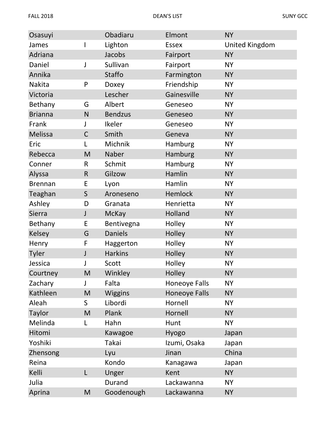| Osasuyi        |              | Obadiaru       | Elmont               | <b>NY</b>      |
|----------------|--------------|----------------|----------------------|----------------|
| James          |              | Lighton        | <b>Essex</b>         | United Kingdom |
| Adriana        |              | Jacobs         | Fairport             | <b>NY</b>      |
| Daniel         | J            | Sullivan       | Fairport             | <b>NY</b>      |
| Annika         |              | Staffo         | Farmington           | <b>NY</b>      |
| Nakita         | P            | Doxey          | Friendship           | <b>NY</b>      |
| Victoria       |              | Lescher        | Gainesville          | <b>NY</b>      |
| Bethany        | G            | Albert         | Geneseo              | <b>NY</b>      |
| <b>Brianna</b> | N            | <b>Bendzus</b> | Geneseo              | <b>NY</b>      |
| Frank          | J            | Ikeler         | Geneseo              | <b>NY</b>      |
| Melissa        | $\mathsf C$  | Smith          | Geneva               | <b>NY</b>      |
| Eric           | L            | Michnik        | Hamburg              | <b>NY</b>      |
| Rebecca        | M            | Naber          | Hamburg              | <b>NY</b>      |
| Conner         | $\mathsf{R}$ | Schmit         | Hamburg              | <b>NY</b>      |
| Alyssa         | $\mathsf R$  | Gilzow         | Hamlin               | <b>NY</b>      |
| <b>Brennan</b> | E            | Lyon           | Hamlin               | <b>NY</b>      |
| Teaghan        | $\mathsf S$  | Aroneseno      | <b>Hemlock</b>       | <b>NY</b>      |
| Ashley         | D            | Granata        | Henrietta            | <b>NY</b>      |
| Sierra         | $\mathsf{J}$ | <b>McKay</b>   | Holland              | <b>NY</b>      |
| Bethany        | E            | Bentivegna     | Holley               | <b>NY</b>      |
| <b>Kelsey</b>  | G            | <b>Daniels</b> | Holley               | <b>NY</b>      |
| Henry          | F            | Haggerton      | Holley               | <b>NY</b>      |
| Tyler          | J            | <b>Harkins</b> | Holley               | <b>NY</b>      |
| Jessica        | J            | Scott          | Holley               | <b>NY</b>      |
| Courtney       | M            | Winkley        | Holley               | <b>NY</b>      |
| Zachary        | J            | Falta          | Honeoye Falls        | <b>NY</b>      |
| Kathleen       | M            | <b>Wiggins</b> | <b>Honeoye Falls</b> | <b>NY</b>      |
| Aleah          | S            | Libordi        | Hornell              | <b>NY</b>      |
| <b>Taylor</b>  | M            | Plank          | Hornell              | <b>NY</b>      |
| Melinda        | L            | Hahn           | Hunt                 | <b>NY</b>      |
| Hitomi         |              | Kawagoe        | Hyogo                | Japan          |
| Yoshiki        |              | Takai          | Izumi, Osaka         | Japan          |
| Zhensong       |              | Lyu            | Jinan                | China          |
| Reina          |              | Kondo          | Kanagawa             | Japan          |
| Kelli          | L            | Unger          | Kent                 | <b>NY</b>      |
| Julia          |              | Durand         | Lackawanna           | <b>NY</b>      |
| Aprina         | M            | Goodenough     | Lackawanna           | <b>NY</b>      |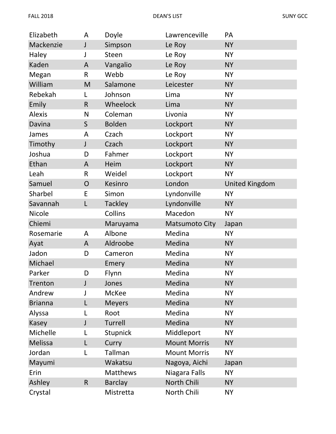| Elizabeth      | A            | Doyle           | Lawrenceville         | PA                    |
|----------------|--------------|-----------------|-----------------------|-----------------------|
| Mackenzie      | J            | Simpson         | Le Roy                | <b>NY</b>             |
| Haley          | J            | <b>Steen</b>    | Le Roy                | <b>NY</b>             |
| Kaden          | A            | Vangalio        | Le Roy                | <b>NY</b>             |
| Megan          | $\mathsf{R}$ | Webb            | Le Roy                | <b>NY</b>             |
| William        | M            | Salamone        | Leicester             | <b>NY</b>             |
| Rebekah        | L            | Johnson         | Lima                  | <b>NY</b>             |
| Emily          | $\mathsf{R}$ | Wheelock        | Lima                  | <b>NY</b>             |
| <b>Alexis</b>  | N            | Coleman         | Livonia               | <b>NY</b>             |
| Davina         | $\mathsf S$  | <b>Bolden</b>   | Lockport              | <b>NY</b>             |
| James          | A            | Czach           | Lockport              | <b>NY</b>             |
| Timothy        | J            | Czach           | Lockport              | <b>NY</b>             |
| Joshua         | D            | Fahmer          | Lockport              | <b>NY</b>             |
| Ethan          | A            | Heim            | Lockport              | <b>NY</b>             |
| Leah           | $\mathsf R$  | Weidel          | Lockport              | <b>NY</b>             |
| Samuel         | O            | Kesinro         | London                | <b>United Kingdom</b> |
| Sharbel        | E            | Simon           | Lyndonville           | <b>NY</b>             |
| Savannah       | L            | <b>Tackley</b>  | Lyndonville           | <b>NY</b>             |
| Nicole         |              | Collins         | Macedon               | <b>NY</b>             |
| Chiemi         |              | Maruyama        | <b>Matsumoto City</b> | Japan                 |
| Rosemarie      | A            | Albone          | Medina                | <b>NY</b>             |
| Ayat           | A            | Aldroobe        | Medina                | <b>NY</b>             |
| Jadon          | D            | Cameron         | Medina                | <b>NY</b>             |
| Michael        |              | Emery           | Medina                | <b>NY</b>             |
| Parker         | D            | Flynn           | Medina                | <b>NY</b>             |
| Trenton        | J            | Jones           | Medina                | <b>NY</b>             |
| Andrew         |              | <b>McKee</b>    | Medina                | <b>NY</b>             |
| <b>Brianna</b> |              | <b>Meyers</b>   | Medina                | <b>NY</b>             |
| Alyssa         |              | Root            | Medina                | <b>NY</b>             |
| Kasey          | J            | Turrell         | Medina                | <b>NY</b>             |
| Michelle       |              | <b>Stupnick</b> | Middleport            | <b>NY</b>             |
| Melissa        | L            | Curry           | <b>Mount Morris</b>   | <b>NY</b>             |
| Jordan         | L            | Tallman         | <b>Mount Morris</b>   | <b>NY</b>             |
| Mayumi         |              | Wakatsu         | Nagoya, Aichi         | Japan                 |
| Erin           |              | <b>Matthews</b> | Niagara Falls         | <b>NY</b>             |
| Ashley         | $\mathsf R$  | <b>Barclay</b>  | North Chili           | <b>NY</b>             |
| Crystal        |              | Mistretta       | North Chili           | <b>NY</b>             |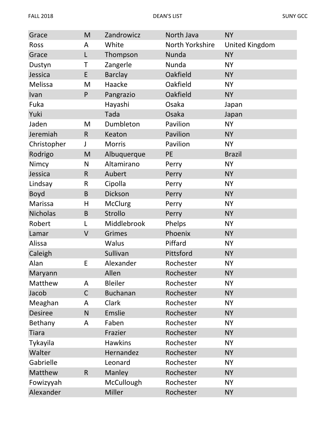| Grace           | M           | Zandrowicz      | North Java      | <b>NY</b>             |
|-----------------|-------------|-----------------|-----------------|-----------------------|
| Ross            | A           | White           | North Yorkshire | <b>United Kingdom</b> |
| Grace           | L           | Thompson        | Nunda           | <b>NY</b>             |
| Dustyn          | Τ           | Zangerle        | Nunda           | <b>NY</b>             |
| Jessica         | E           | <b>Barclay</b>  | Oakfield        | <b>NY</b>             |
| Melissa         | M           | Haacke          | Oakfield        | <b>NY</b>             |
| Ivan            | P           | Pangrazio       | Oakfield        | <b>NY</b>             |
| Fuka            |             | Hayashi         | Osaka           | Japan                 |
| Yuki            |             | Tada            | Osaka           | Japan                 |
| Jaden           | M           | Dumbleton       | Pavilion        | <b>NY</b>             |
| Jeremiah        | $\mathsf R$ | Keaton          | Pavilion        | <b>NY</b>             |
| Christopher     | J           | <b>Morris</b>   | Pavilion        | <b>NY</b>             |
| Rodrigo         | M           | Albuquerque     | PE              | <b>Brazil</b>         |
| Nimcy           | N           | Altamirano      | Perry           | <b>NY</b>             |
| Jessica         | $\mathsf R$ | Aubert          | Perry           | <b>NY</b>             |
| Lindsay         | R           | Cipolla         | Perry           | <b>NY</b>             |
| <b>Boyd</b>     | B           | Dickson         | Perry           | <b>NY</b>             |
| Marissa         | H           | <b>McClurg</b>  | Perry           | <b>NY</b>             |
| <b>Nicholas</b> | B           | Strollo         | Perry           | <b>NY</b>             |
| Robert          | L           | Middlebrook     | Phelps          | <b>NY</b>             |
| Lamar           | $\vee$      | <b>Grimes</b>   | Phoenix         | <b>NY</b>             |
| Alissa          |             | Walus           | Piffard         | <b>NY</b>             |
| Caleigh         |             | Sullivan        | Pittsford       | <b>NY</b>             |
| Alan            | E           | Alexander       | Rochester       | <b>NY</b>             |
| Maryann         |             | Allen           | Rochester       | <b>NY</b>             |
| Matthew         | A           | <b>Bleiler</b>  | Rochester       | <b>NY</b>             |
| Jacob           | $\mathsf C$ | <b>Buchanan</b> | Rochester       | <b>NY</b>             |
| Meaghan         | A           | <b>Clark</b>    | Rochester       | <b>NY</b>             |
| <b>Desiree</b>  | N           | Emslie          | Rochester       | <b>NY</b>             |
| Bethany         | A           | Faben           | Rochester       | <b>NY</b>             |
| <b>Tiara</b>    |             | Frazier         | Rochester       | <b>NY</b>             |
| Tykayila        |             | <b>Hawkins</b>  | Rochester       | <b>NY</b>             |
| Walter          |             | Hernandez       | Rochester       | <b>NY</b>             |
| Gabrielle       |             | Leonard         | Rochester       | <b>NY</b>             |
| Matthew         | $\mathsf R$ | Manley          | Rochester       | <b>NY</b>             |
| Fowizyyah       |             | McCullough      | Rochester       | <b>NY</b>             |
| Alexander       |             | Miller          | Rochester       | <b>NY</b>             |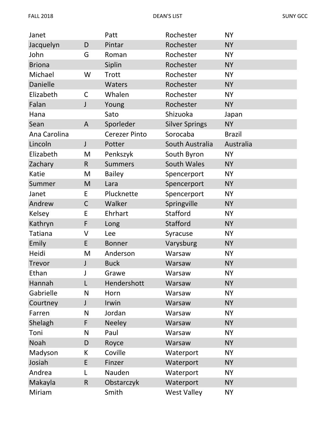| Janet          |              | Patt                 | Rochester             | <b>NY</b>     |
|----------------|--------------|----------------------|-----------------------|---------------|
| Jacquelyn      | D            | Pintar               | Rochester             | <b>NY</b>     |
| John           | G            | Roman                | Rochester             | <b>NY</b>     |
| <b>Briona</b>  |              | Siplin               | Rochester             | <b>NY</b>     |
| Michael        | W            | Trott                | Rochester             | <b>NY</b>     |
| Danielle       |              | Waters               | Rochester             | <b>NY</b>     |
| Elizabeth      | $\mathsf C$  | Whalen               | Rochester             | <b>NY</b>     |
| Falan          | $\mathsf J$  | Young                | Rochester             | <b>NY</b>     |
| Hana           |              | Sato                 | Shizuoka              | Japan         |
| Sean           | A            | Sporleder            | <b>Silver Springs</b> | <b>NY</b>     |
| Ana Carolina   |              | <b>Cerezer Pinto</b> | Sorocaba              | <b>Brazil</b> |
| Lincoln        | $\mathsf J$  | Potter               | South Australia       | Australia     |
| Elizabeth      | M            | Penkszyk             | South Byron           | <b>NY</b>     |
| Zachary        | R            | <b>Summers</b>       | South Wales           | <b>NY</b>     |
| Katie          | M            | <b>Bailey</b>        | Spencerport           | <b>NY</b>     |
| Summer         | M            | Lara                 | Spencerport           | <b>NY</b>     |
| Janet          | E            | Plucknette           | Spencerport           | <b>NY</b>     |
| Andrew         | $\mathsf C$  | Walker               | Springville           | <b>NY</b>     |
| Kelsey         | E            | Ehrhart              | <b>Stafford</b>       | <b>NY</b>     |
| Kathryn        | F            | Long                 | <b>Stafford</b>       | <b>NY</b>     |
| <b>Tatiana</b> | V            | Lee                  | Syracuse              | <b>NY</b>     |
| Emily          | E            | <b>Bonner</b>        | Varysburg             | <b>NY</b>     |
| Heidi          | M            | Anderson             | Warsaw                | <b>NY</b>     |
| <b>Trevor</b>  | $\mathsf{J}$ | <b>Buck</b>          | Warsaw                | <b>NY</b>     |
| Ethan          |              | Grawe                | Warsaw                | <b>NY</b>     |
| Hannah         | L            | Hendershott          | Warsaw                | <b>NY</b>     |
| Gabrielle      | N            | Horn                 | Warsaw                | <b>NY</b>     |
| Courtney       | $\mathsf J$  | Irwin                | Warsaw                | <b>NY</b>     |
| Farren         | N            | Jordan               | Warsaw                | <b>NY</b>     |
| Shelagh        | F            | <b>Neeley</b>        | Warsaw                | <b>NY</b>     |
| Toni           | N            | Paul                 | Warsaw                | <b>NY</b>     |
| Noah           | D            | Royce                | Warsaw                | <b>NY</b>     |
| Madyson        | К            | Coville              | Waterport             | <b>NY</b>     |
| Josiah         | E            | Finzer               | Waterport             | <b>NY</b>     |
| Andrea         | L            | Nauden               | Waterport             | <b>NY</b>     |
| Makayla        | $\mathsf R$  | Obstarczyk           | Waterport             | <b>NY</b>     |
| Miriam         |              | Smith                | <b>West Valley</b>    | <b>NY</b>     |